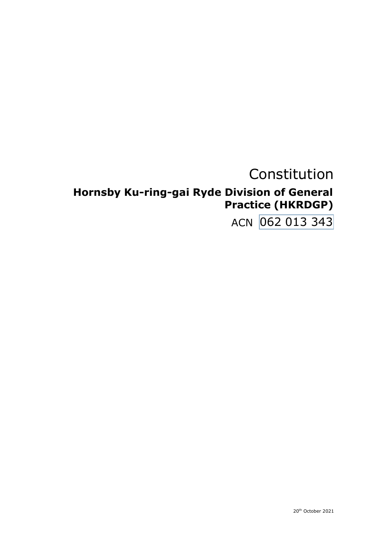# Constitution

# Hornsby Ku-ring-gai Ryde Division of General **Practice (HKRDGP)**

ACN 062 013 343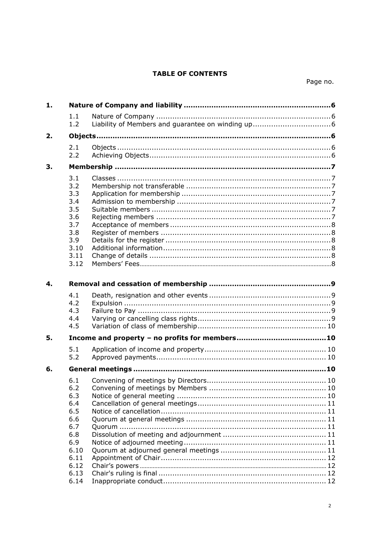# **TABLE OF CONTENTS**

| 1.             |                                                                                             |  |
|----------------|---------------------------------------------------------------------------------------------|--|
|                | 1.1<br>1.2                                                                                  |  |
| 2.             |                                                                                             |  |
|                | 2.1<br>2.2                                                                                  |  |
| 3.             |                                                                                             |  |
|                | 3.1<br>3.2<br>3.3<br>3.4<br>3.5<br>3.6<br>3.7<br>3.8<br>3.9<br>3.10<br>3.11<br>3.12         |  |
| $\mathbf{4}$ . |                                                                                             |  |
|                | 4.1<br>4.2<br>4.3<br>4.4<br>4.5                                                             |  |
| 5.             |                                                                                             |  |
|                | 5.1<br>5.2                                                                                  |  |
| 6.             |                                                                                             |  |
|                | 6.1<br>6.2<br>6.3<br>6.4<br>6.5<br>6.6<br>6.7<br>6.8<br>6.9<br>6.10<br>6.11<br>6.12<br>6.13 |  |
|                | 6.14                                                                                        |  |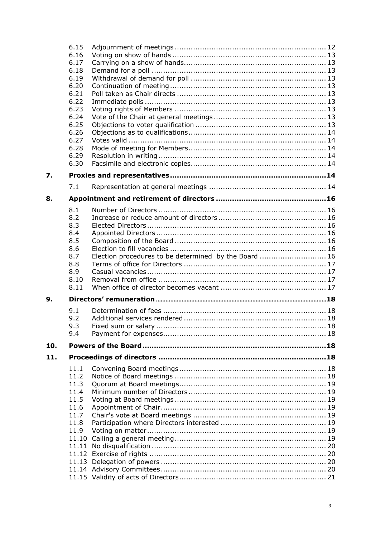|     | 6.15  |                                                       |  |
|-----|-------|-------------------------------------------------------|--|
|     | 6.16  |                                                       |  |
|     | 6.17  |                                                       |  |
|     | 6.18  |                                                       |  |
|     | 6.19  |                                                       |  |
|     | 6.20  |                                                       |  |
|     | 6.21  |                                                       |  |
|     | 6.22  |                                                       |  |
|     | 6.23  |                                                       |  |
|     | 6.24  |                                                       |  |
|     | 6.25  |                                                       |  |
|     | 6.26  |                                                       |  |
|     | 6.27  |                                                       |  |
|     | 6.28  |                                                       |  |
|     | 6.29  |                                                       |  |
|     | 6.30  |                                                       |  |
|     |       |                                                       |  |
| 7.  |       |                                                       |  |
|     | 7.1   |                                                       |  |
| 8.  |       |                                                       |  |
|     | 8.1   |                                                       |  |
|     | 8.2   |                                                       |  |
|     | 8.3   |                                                       |  |
|     | 8.4   |                                                       |  |
|     | 8.5   |                                                       |  |
|     | 8.6   |                                                       |  |
|     | 8.7   | Election procedures to be determined by the Board  16 |  |
|     | 8.8   |                                                       |  |
|     | 8.9   |                                                       |  |
|     | 8.10  |                                                       |  |
|     | 8.11  |                                                       |  |
| 9.  |       |                                                       |  |
|     |       |                                                       |  |
|     | 9.1   |                                                       |  |
|     | 9.2   |                                                       |  |
|     | 9.3   |                                                       |  |
|     | 9.4   |                                                       |  |
| 10. |       |                                                       |  |
|     |       |                                                       |  |
| 11. |       |                                                       |  |
|     |       |                                                       |  |
|     | 11.1  |                                                       |  |
|     | 11.2  |                                                       |  |
|     | 11.3  |                                                       |  |
|     | 11.4  |                                                       |  |
|     | 11.5  |                                                       |  |
|     | 11.6  |                                                       |  |
|     | 11.7  |                                                       |  |
|     | 11.8  |                                                       |  |
|     | 11.9  |                                                       |  |
|     | 11.10 |                                                       |  |
|     | 11.11 |                                                       |  |
|     |       |                                                       |  |
|     |       |                                                       |  |
|     |       |                                                       |  |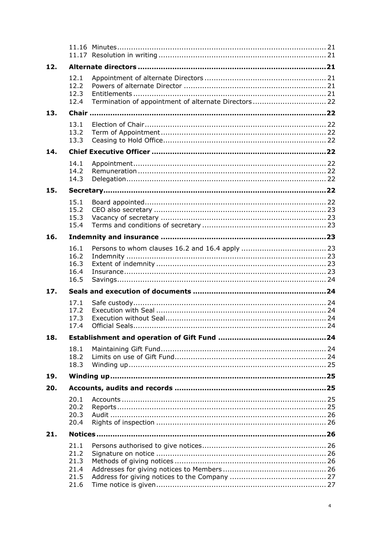| 12. |                                              |                                                      |  |
|-----|----------------------------------------------|------------------------------------------------------|--|
|     | 12.1<br>12.2<br>12.3<br>12.4                 | Termination of appointment of alternate Directors 22 |  |
| 13. |                                              |                                                      |  |
|     | 13.1<br>13.2<br>13.3                         |                                                      |  |
| 14. |                                              |                                                      |  |
|     | 14.1<br>14.2<br>14.3                         |                                                      |  |
| 15. |                                              |                                                      |  |
|     | 15.1<br>15.2<br>15.3<br>15.4                 |                                                      |  |
| 16. |                                              |                                                      |  |
|     | 16.1<br>16.2<br>16.3<br>16.4<br>16.5         |                                                      |  |
| 17. |                                              |                                                      |  |
|     | 17.1<br>17.2<br>17.3<br>17.4                 |                                                      |  |
| 18. |                                              |                                                      |  |
|     | 18.1<br>18.2<br>18.3                         |                                                      |  |
| 19. |                                              |                                                      |  |
| 20. |                                              |                                                      |  |
|     | 20.1<br>20.2<br>20.3<br>20.4                 |                                                      |  |
| 21. |                                              |                                                      |  |
|     | 21.1<br>21.2<br>21.3<br>21.4<br>21.5<br>21.6 |                                                      |  |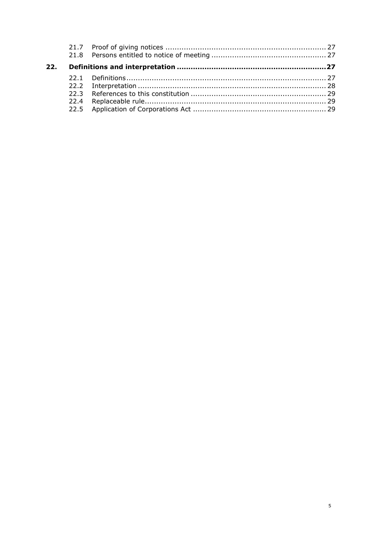| 22. |  |  |
|-----|--|--|
|     |  |  |
|     |  |  |
|     |  |  |
|     |  |  |
|     |  |  |
|     |  |  |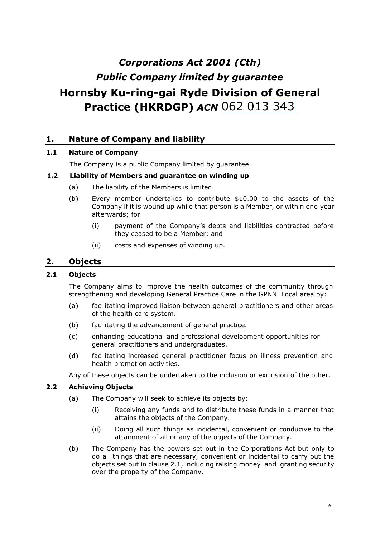# 062 013 343 **Practice (HKRDGP)** *ACN Corporations Act 2001 (Cth) Public Company limited by guarantee* **Hornsby Ku-ring-gai Ryde Division of General**

# <span id="page-5-0"></span>**1. Nature of Company and liability**

## <span id="page-5-1"></span>**1.1 Nature of Company**

The Company is a public Company limited by guarantee.

## <span id="page-5-2"></span>**1.2 Liability of Members and guarantee on winding up**

- (a) The liability of the Members is limited.
- (b) Every member undertakes to contribute \$10.00 to the assets of the Company if it is wound up while that person is a Member, or within one year afterwards; for
	- (i) payment of the Company's debts and liabilities contracted before they ceased to be a Member; and
	- (ii) costs and expenses of winding up.

# <span id="page-5-3"></span>**2. Objects**

## <span id="page-5-4"></span>**2.1 Objects**

The Company aims to improve the health outcomes of the community through strengthening and developing General Practice Care in the GPNN Local area by:

- (a) facilitating improved liaison between general practitioners and other areas of the health care system.
- (b) facilitating the advancement of general practice.
- (c) enhancing educational and professional development opportunities for general practitioners and undergraduates.
- (d) facilitating increased general practitioner focus on illness prevention and health promotion activities.

Any of these objects can be undertaken to the inclusion or exclusion of the other.

#### <span id="page-5-5"></span>**2.2 Achieving Objects**

- (a) The Company will seek to achieve its objects by:
	- (i) Receiving any funds and to distribute these funds in a manner that attains the objects of the Company.
	- (ii) Doing all such things as incidental, convenient or conducive to the attainment of all or any of the objects of the Company.
- (b) The Company has the powers set out in the Corporations Act but only to do all things that are necessary, convenient or incidental to carry out the objects set out in clause [2.1,](#page-5-4) including raising money and granting security over the property of the Company.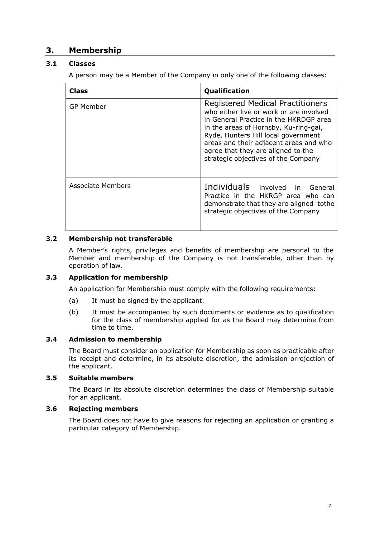# <span id="page-6-0"></span>**3. Membership**

## <span id="page-6-1"></span>**3.1 Classes**

A person may be a Member of the Company in only one of the following classes:

| Class             | Qualification                                                                                                                                                                                                                                                                                                                       |  |
|-------------------|-------------------------------------------------------------------------------------------------------------------------------------------------------------------------------------------------------------------------------------------------------------------------------------------------------------------------------------|--|
| GP Member         | <b>Registered Medical Practitioners</b><br>who either live or work or are involved<br>in General Practice in the HKRDGP area<br>in the areas of Hornsby, Ku-ring-gai,<br>Ryde, Hunters Hill local government<br>areas and their adjacent areas and who<br>agree that they are aligned to the<br>strategic objectives of the Company |  |
| Associate Members | Individuals involved in General<br>Practice in the HKRGP area who can<br>demonstrate that they are aligned tothe<br>strategic objectives of the Company                                                                                                                                                                             |  |

## <span id="page-6-2"></span>**3.2 Membership not transferable**

A Member's rights, privileges and benefits of membership are personal to the Member and membership of the Company is not transferable, other than by operation of law.

## <span id="page-6-3"></span>**3.3 Application for membership**

An application for Membership must comply with the following requirements:

- (a) It must be signed by the applicant.
- (b) It must be accompanied by such documents or evidence as to qualification for the class of membership applied for as the Board may determine from time to time.

## <span id="page-6-4"></span>**3.4 Admission to membership**

The Board must consider an application for Membership as soon as practicable after its receipt and determine, in its absolute discretion, the admission orrejection of the applicant.

## <span id="page-6-5"></span>**3.5 Suitable members**

The Board in its absolute discretion determines the class of Membership suitable for an applicant.

#### <span id="page-6-6"></span>**3.6 Rejecting members**

The Board does not have to give reasons for rejecting an application or granting a particular category of Membership.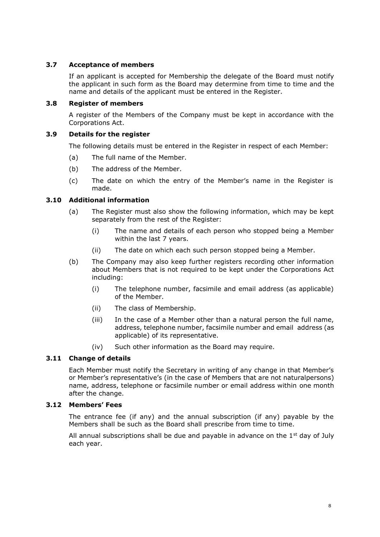## <span id="page-7-0"></span>**3.7 Acceptance of members**

If an applicant is accepted for Membership the delegate of the Board must notify the applicant in such form as the Board may determine from time to time and the name and details of the applicant must be entered in the Register.

#### <span id="page-7-1"></span>**3.8 Register of members**

A register of the Members of the Company must be kept in accordance with the Corporations Act.

## <span id="page-7-2"></span>**3.9 Details for the register**

The following details must be entered in the Register in respect of each Member:

- (a) The full name of the Member.
- (b) The address of the Member.
- (c) The date on which the entry of the Member's name in the Register is made.

## <span id="page-7-3"></span>**3.10 Additional information**

- (a) The Register must also show the following information, which may be kept separately from the rest of the Register:
	- (i) The name and details of each person who stopped being a Member within the last 7 years.
	- (ii) The date on which each such person stopped being a Member.
- (b) The Company may also keep further registers recording other information about Members that is not required to be kept under the Corporations Act including:
	- (i) The telephone number, facsimile and email address (as applicable) of the Member.
	- (ii) The class of Membership.
	- (iii) In the case of a Member other than a natural person the full name, address, telephone number, facsimile number and email address (as applicable) of its representative.
	- (iv) Such other information as the Board may require.

## <span id="page-7-4"></span>**3.11 Change of details**

Each Member must notify the Secretary in writing of any change in that Member's or Member's representative's (in the case of Members that are not naturalpersons) name, address, telephone or facsimile number or email address within one month after the change.

#### <span id="page-7-5"></span>**3.12 Members' Fees**

The entrance fee (if any) and the annual subscription (if any) payable by the Members shall be such as the Board shall prescribe from time to time.

All annual subscriptions shall be due and payable in advance on the  $1<sup>st</sup>$  day of July each year.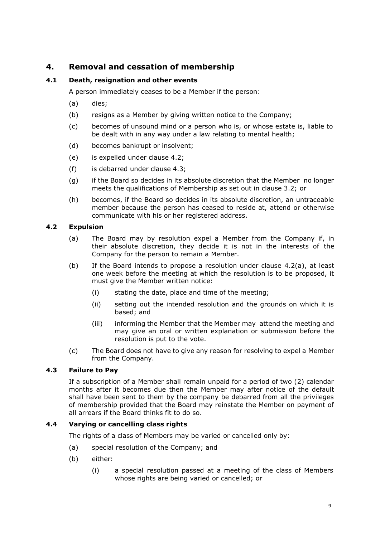# <span id="page-8-0"></span>**4. Removal and cessation of membership**

# <span id="page-8-1"></span>**4.1 Death, resignation and other events**

A person immediately ceases to be a Member if the person:

- (a) dies;
- (b) resigns as a Member by giving written notice to the Company;
- (c) becomes of unsound mind or a person who is, or whose estate is, liable to be dealt with in any way under a law relating to mental health;
- (d) becomes bankrupt or insolvent;
- (e) is expelled under clause [4.2;](#page-8-2)
- (f) is debarred under clause 4.3;
- (g) if the Board so decides in its absolute discretion that the Member no longer meets the qualifications of Membership as set out in clause 3.2; or
- (h) becomes, if the Board so decides in its absolute discretion, an untraceable member because the person has ceased to reside at, attend or otherwise communicate with his or her registered address.

# <span id="page-8-5"></span><span id="page-8-2"></span>**4.2 Expulsion**

- (a) The Board may by resolution expel a Member from the Company if, in their absolute discretion, they decide it is not in the interests of the Company for the person to remain a Member.
- (b) If the Board intends to propose a resolution under clause [4.2\(a\),](#page-8-5) at least one week before the meeting at which the resolution is to be proposed, it must give the Member written notice:
	- (i) stating the date, place and time of the meeting;
	- (ii) setting out the intended resolution and the grounds on which it is based; and
	- (iii) informing the Member that the Member may attend the meeting and may give an oral or written explanation or submission before the resolution is put to the vote.
- (c) The Board does not have to give any reason for resolving to expel a Member from the Company.

# <span id="page-8-3"></span>**4.3 Failure to Pay**

If a subscription of a Member shall remain unpaid for a period of two (2) calendar months after it becomes due then the Member may after notice of the default shall have been sent to them by the company be debarred from all the privileges of membership provided that the Board may reinstate the Member on payment of all arrears if the Board thinks fit to do so.

## <span id="page-8-4"></span>**4.4 Varying or cancelling class rights**

The rights of a class of Members may be varied or cancelled only by:

- (a) special resolution of the Company; and
- (b) either:
	- (i) a special resolution passed at a meeting of the class of Members whose rights are being varied or cancelled; or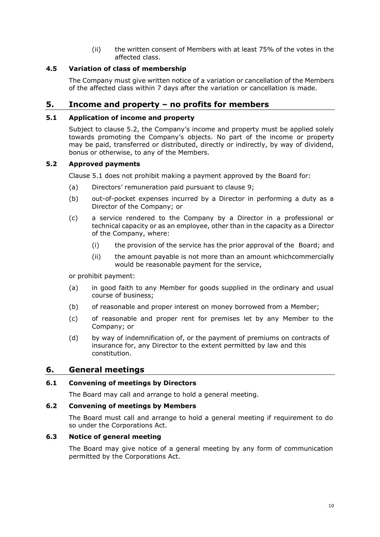(ii) the written consent of Members with at least 75% of the votes in the affected class.

## <span id="page-9-0"></span>**4.5 Variation of class of membership**

The Company must give written notice of a variation or cancellation of the Members of the affected class within 7 days after the variation or cancellation is made.

# <span id="page-9-1"></span>**5. Income and property – no profits for members**

## <span id="page-9-2"></span>**5.1 Application of income and property**

Subject to clause 5.2, the Company's income and property must be applied solely towards promoting the Company's objects. No part of the income or property may be paid, transferred or distributed, directly or indirectly, by way of dividend, bonus or otherwise, to any of the Members.

## <span id="page-9-3"></span>**5.2 Approved payments**

Clause [5.](#page-9-1)1 does not prohibit making a payment approved by the Board for:

- (a) Directors' remuneration paid pursuant to clause 9;
- (b) out-of-pocket expenses incurred by a Director in performing a duty as a Director of the Company; or
- (c) a service rendered to the Company by a Director in a professional or technical capacity or as an employee, other than in the capacity as a Director of the Company, where:
	- (i) the provision of the service has the prior approval of the Board; and
	- (ii) the amount payable is not more than an amount whichcommercially would be reasonable payment for the service,

or prohibit payment:

- (a) in good faith to any Member for goods supplied in the ordinary and usual course of business;
- (b) of reasonable and proper interest on money borrowed from a Member;
- (c) of reasonable and proper rent for premises let by any Member to the Company; or
- (d) by way of indemnification of, or the payment of premiums on contracts of insurance for, any Director to the extent permitted by law and this constitution.

## <span id="page-9-4"></span>**6. General meetings**

## <span id="page-9-5"></span>**6.1 Convening of meetings by Directors**

The Board may call and arrange to hold a general meeting.

#### <span id="page-9-6"></span>**6.2 Convening of meetings by Members**

The Board must call and arrange to hold a general meeting if requirement to do so under the Corporations Act.

# <span id="page-9-7"></span>**6.3 Notice of general meeting**

The Board may give notice of a general meeting by any form of communication permitted by the Corporations Act.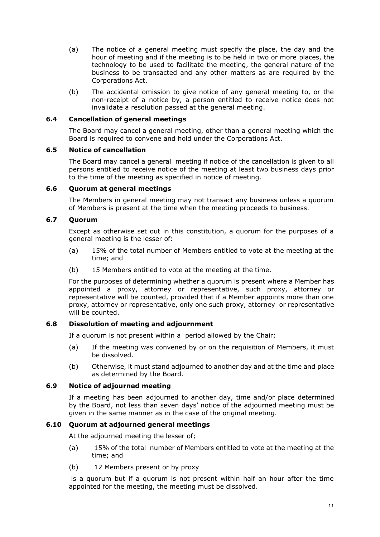- (a) The notice of a general meeting must specify the place, the day and the hour of meeting and if the meeting is to be held in two or more places, the technology to be used to facilitate the meeting, the general nature of the business to be transacted and any other matters as are required by the Corporations Act.
- (b) The accidental omission to give notice of any general meeting to, or the non-receipt of a notice by, a person entitled to receive notice does not invalidate a resolution passed at the general meeting.

#### <span id="page-10-0"></span>**6.4 Cancellation of general meetings**

The Board may cancel a general meeting, other than a general meeting which the Board is required to convene and hold under the Corporations Act.

## <span id="page-10-1"></span>**6.5 Notice of cancellation**

The Board may cancel a general meeting if notice of the cancellation is given to all persons entitled to receive notice of the meeting at least two business days prior to the time of the meeting as specified in notice of meeting.

## <span id="page-10-2"></span>**6.6 Quorum at general meetings**

The Members in general meeting may not transact any business unless a quorum of Members is present at the time when the meeting proceeds to business.

## <span id="page-10-3"></span>**6.7 Quorum**

Except as otherwise set out in this constitution, a quorum for the purposes of a general meeting is the lesser of:

- (a) 15% of the total number of Members entitled to vote at the meeting at the time; and
- (b) 15 Members entitled to vote at the meeting at the time.

For the purposes of determining whether a quorum is present where a Member has appointed a proxy, attorney or representative, such proxy, attorney or representative will be counted, provided that if a Member appoints more than one proxy, attorney or representative, only one such proxy, attorney or representative will be counted.

## <span id="page-10-4"></span>**6.8 Dissolution of meeting and adjournment**

If a quorum is not present within a period allowed by the Chair;

- (a) If the meeting was convened by or on the requisition of Members, it must be dissolved.
- (b) Otherwise, it must stand adjourned to another day and at the time and place as determined by the Board.

## <span id="page-10-5"></span>**6.9 Notice of adjourned meeting**

If a meeting has been adjourned to another day, time and/or place determined by the Board, not less than seven days' notice of the adjourned meeting must be given in the same manner as in the case of the original meeting.

## <span id="page-10-6"></span>**6.10 Quorum at adjourned general meetings**

At the adjourned meeting the lesser of;

- (a) 15% of the total number of Members entitled to vote at the meeting at the time; and
- (b) 12 Members present or by proxy

is a quorum but if a quorum is not present within half an hour after the time appointed for the meeting, the meeting must be dissolved.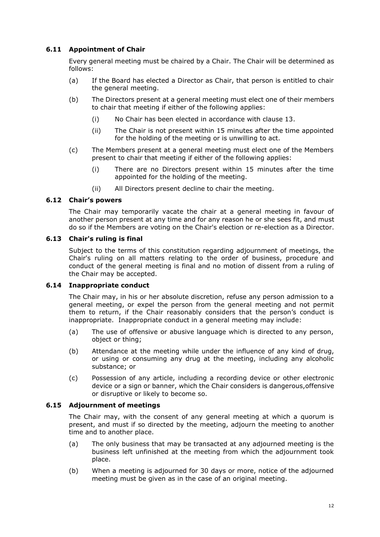# <span id="page-11-0"></span>**6.11 Appointment of Chair**

Every general meeting must be chaired by a Chair. The Chair will be determined as follows:

- (a) If the Board has elected a Director as Chair, that person is entitled to chair the general meeting.
- (b) The Directors present at a general meeting must elect one of their members to chair that meeting if either of the following applies:
	- (i) No Chair has been elected in accordance with clause 13.
	- (ii) The Chair is not present within 15 minutes after the time appointed for the holding of the meeting or is unwilling to act.
- (c) The Members present at a general meeting must elect one of the Members present to chair that meeting if either of the following applies:
	- (i) There are no Directors present within 15 minutes after the time appointed for the holding of the meeting.
	- (ii) All Directors present decline to chair the meeting.

#### <span id="page-11-1"></span>**6.12 Chair's powers**

The Chair may temporarily vacate the chair at a general meeting in favour of another person present at any time and for any reason he or she sees fit, and must do so if the Members are voting on the Chair's election or re-election as a Director.

#### <span id="page-11-2"></span>**6.13 Chair's ruling is final**

Subject to the terms of this constitution regarding adjournment of meetings, the Chair's ruling on all matters relating to the order of business, procedure and conduct of the general meeting is final and no motion of dissent from a ruling of the Chair may be accepted.

#### <span id="page-11-3"></span>**6.14 Inappropriate conduct**

The Chair may, in his or her absolute discretion, refuse any person admission to a general meeting, or expel the person from the general meeting and not permit them to return, if the Chair reasonably considers that the person's conduct is inappropriate. Inappropriate conduct in a general meeting may include:

- (a) The use of offensive or abusive language which is directed to any person, object or thing;
- (b) Attendance at the meeting while under the influence of any kind of drug, or using or consuming any drug at the meeting, including any alcoholic substance; or
- (c) Possession of any article, including a recording device or other electronic device or a sign or banner, which the Chair considers is dangerous,offensive or disruptive or likely to become so.

## <span id="page-11-4"></span>**6.15 Adjournment of meetings**

The Chair may, with the consent of any general meeting at which a quorum is present, and must if so directed by the meeting, adjourn the meeting to another time and to another place.

- (a) The only business that may be transacted at any adjourned meeting is the business left unfinished at the meeting from which the adjournment took place.
- (b) When a meeting is adjourned for 30 days or more, notice of the adjourned meeting must be given as in the case of an original meeting.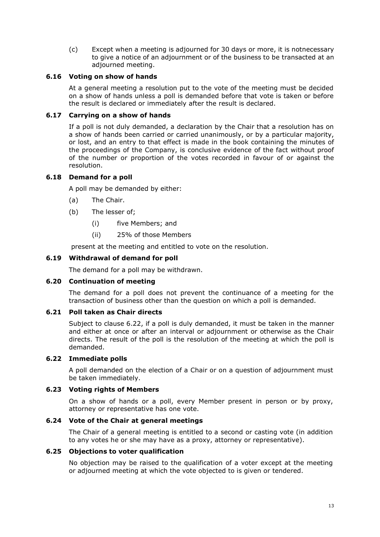(c) Except when a meeting is adjourned for 30 days or more, it is notnecessary to give a notice of an adjournment or of the business to be transacted at an adjourned meeting.

#### <span id="page-12-0"></span>**6.16 Voting on show of hands**

At a general meeting a resolution put to the vote of the meeting must be decided on a show of hands unless a poll is demanded before that vote is taken or before the result is declared or immediately after the result is declared.

## <span id="page-12-1"></span>**6.17 Carrying on a show of hands**

If a poll is not duly demanded, a declaration by the Chair that a resolution has on a show of hands been carried or carried unanimously, or by a particular majority, or lost, and an entry to that effect is made in the book containing the minutes of the proceedings of the Company, is conclusive evidence of the fact without proof of the number or proportion of the votes recorded in favour of or against the resolution.

## <span id="page-12-2"></span>**6.18 Demand for a poll**

A poll may be demanded by either:

- (a) The Chair.
- (b) The lesser of;
	- (i) five Members; and
	- (ii) 25% of those Members

present at the meeting and entitled to vote on the resolution.

## <span id="page-12-3"></span>**6.19 Withdrawal of demand for poll**

The demand for a poll may be withdrawn.

#### <span id="page-12-4"></span>**6.20 Continuation of meeting**

The demand for a poll does not prevent the continuance of a meeting for the transaction of business other than the question on which a poll is demanded.

## <span id="page-12-5"></span>**6.21 Poll taken as Chair directs**

Subject to clause 6.22, if a poll is duly demanded, it must be taken in the manner and either at once or after an interval or adjournment or otherwise as the Chair directs. The result of the poll is the resolution of the meeting at which the poll is demanded.

## <span id="page-12-6"></span>**6.22 Immediate polls**

A poll demanded on the election of a Chair or on a question of adjournment must be taken immediately.

## <span id="page-12-7"></span>**6.23 Voting rights of Members**

On a show of hands or a poll, every Member present in person or by proxy, attorney or representative has one vote.

#### <span id="page-12-8"></span>**6.24 Vote of the Chair at general meetings**

The Chair of a general meeting is entitled to a second or casting vote (in addition to any votes he or she may have as a proxy, attorney or representative).

## <span id="page-12-9"></span>**6.25 Objections to voter qualification**

No objection may be raised to the qualification of a voter except at the meeting or adjourned meeting at which the vote objected to is given or tendered.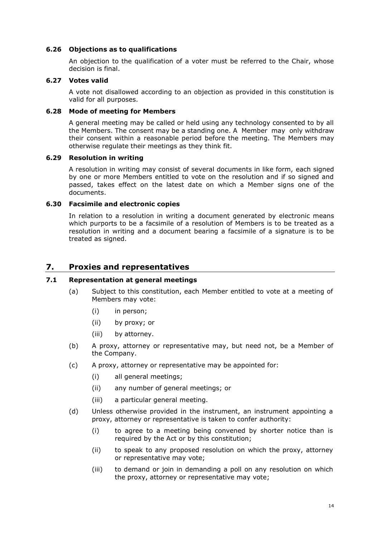## <span id="page-13-0"></span>**6.26 Objections as to qualifications**

An objection to the qualification of a voter must be referred to the Chair, whose decision is final.

#### <span id="page-13-1"></span>**6.27 Votes valid**

A vote not disallowed according to an objection as provided in this constitution is valid for all purposes.

#### <span id="page-13-2"></span>**6.28 Mode of meeting for Members**

A general meeting may be called or held using any technology consented to by all the Members. The consent may be a standing one. A Member may only withdraw their consent within a reasonable period before the meeting. The Members may otherwise regulate their meetings as they think fit.

#### <span id="page-13-3"></span>**6.29 Resolution in writing**

A resolution in writing may consist of several documents in like form, each signed by one or more Members entitled to vote on the resolution and if so signed and passed, takes effect on the latest date on which a Member signs one of the documents.

## <span id="page-13-4"></span>**6.30 Facsimile and electronic copies**

In relation to a resolution in writing a document generated by electronic means which purports to be a facsimile of a resolution of Members is to be treated as a resolution in writing and a document bearing a facsimile of a signature is to be treated as signed.

# <span id="page-13-5"></span>**7. Proxies and representatives**

## <span id="page-13-6"></span>**7.1 Representation at general meetings**

- (a) Subject to this constitution, each Member entitled to vote at a meeting of Members may vote:
	- (i) in person;
	- (ii) by proxy; or
	- (iii) by attorney.
- (b) A proxy, attorney or representative may, but need not, be a Member of the Company.
- (c) A proxy, attorney or representative may be appointed for:
	- (i) all general meetings;
	- (ii) any number of general meetings; or
	- (iii) a particular general meeting.
- (d) Unless otherwise provided in the instrument, an instrument appointing a proxy, attorney or representative is taken to confer authority:
	- (i) to agree to a meeting being convened by shorter notice than is required by the Act or by this constitution;
	- (ii) to speak to any proposed resolution on which the proxy, attorney or representative may vote;
	- (iii) to demand or join in demanding a poll on any resolution on which the proxy, attorney or representative may vote;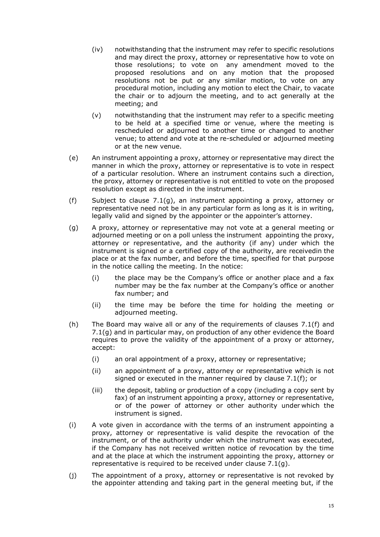- (iv) notwithstanding that the instrument may refer to specific resolutions and may direct the proxy, attorney or representative how to vote on those resolutions; to vote on any amendment moved to the proposed resolutions and on any motion that the proposed resolutions not be put or any similar motion, to vote on any procedural motion, including any motion to elect the Chair, to vacate the chair or to adjourn the meeting, and to act generally at the meeting; and
- (v) notwithstanding that the instrument may refer to a specific meeting to be held at a specified time or venue, where the meeting is rescheduled or adjourned to another time or changed to another venue; to attend and vote at the re-scheduled or adjourned meeting or at the new venue.
- (e) An instrument appointing a proxy, attorney or representative may direct the manner in which the proxy, attorney or representative is to vote in respect of a particular resolution. Where an instrument contains such a direction, the proxy, attorney or representative is not entitled to vote on the proposed resolution except as directed in the instrument.
- <span id="page-14-1"></span>(f) Subject to clause [7.1\(g\),](#page-14-0) an instrument appointing a proxy, attorney or representative need not be in any particular form as long as it is in writing, legally valid and signed by the appointer or the appointer's attorney.
- <span id="page-14-0"></span>(g) A proxy, attorney or representative may not vote at a general meeting or adjourned meeting or on a poll unless the instrument appointing the proxy, attorney or representative, and the authority (if any) under which the instrument is signed or a certified copy of the authority, are receivedin the place or at the fax number, and before the time, specified for that purpose in the notice calling the meeting. In the notice:
	- (i) the place may be the Company's office or another place and a fax number may be the fax number at the Company's office or another fax number; and
	- (ii) the time may be before the time for holding the meeting or adjourned meeting.
- (h) The Board may waive all or any of the requirements of clauses [7.1\(f\) a](#page-14-1)nd [7.1\(g\)](#page-14-0) and in particular may, on production of any other evidence the Board requires to prove the validity of the appointment of a proxy or attorney, accept:
	- (i) an oral appointment of a proxy, attorney or representative;
	- (ii) an appointment of a proxy, attorney or representative which is not signed or executed in the manner required by clause [7.1\(f\);](#page-14-1) or
	- (iii) the deposit, tabling or production of a copy (including a copy sent by fax) of an instrument appointing a proxy, attorney or representative, or of the power of attorney or other authority under which the instrument is signed.
- (i) A vote given in accordance with the terms of an instrument appointing a proxy, attorney or representative is valid despite the revocation of the instrument, or of the authority under which the instrument was executed, if the Company has not received written notice of revocation by the time and at the place at which the instrument appointing the proxy, attorney or representative is required to be received under clause [7.1\(g\).](#page-14-0)
- (j) The appointment of a proxy, attorney or representative is not revoked by the appointer attending and taking part in the general meeting but, if the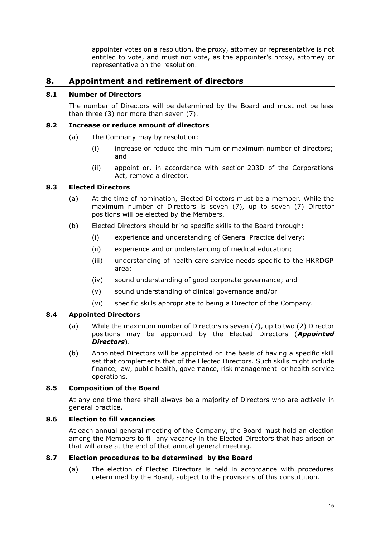appointer votes on a resolution, the proxy, attorney or representative is not entitled to vote, and must not vote, as the appointer's proxy, attorney or representative on the resolution.

# <span id="page-15-0"></span>**8. Appointment and retirement of directors**

## <span id="page-15-1"></span>**8.1 Number of Directors**

The number of Directors will be determined by the Board and must not be less than three (3) nor more than seven (7).

#### <span id="page-15-2"></span>**8.2 Increase or reduce amount of directors**

- (a) The Company may by resolution:
	- (i) increase or reduce the minimum or maximum number of directors; and
	- (ii) appoint or, in accordance with section 203D of the Corporations Act, remove a director.

## <span id="page-15-3"></span>**8.3 Elected Directors**

- (a) At the time of nomination, Elected Directors must be a member. While the maximum number of Directors is seven (7), up to seven (7) Director positions will be elected by the Members.
- (b) Elected Directors should bring specific skills to the Board through:
	- (i) experience and understanding of General Practice delivery;
	- (ii) experience and or understanding of medical education;
	- (iii) understanding of health care service needs specific to the HKRDGP area;
	- (iv) sound understanding of good corporate governance; and
	- (v) sound understanding of clinical governance and/or
	- (vi) specific skills appropriate to being a Director of the Company.

#### <span id="page-15-4"></span>**8.4 Appointed Directors**

- (a) While the maximum number of Directors is seven (7), up to two (2) Director positions may be appointed by the Elected Directors (*Appointed Directors*).
- (b) Appointed Directors will be appointed on the basis of having a specific skill set that complements that of the Elected Directors. Such skills might include finance, law, public health, governance, risk management or health service operations.

## <span id="page-15-5"></span>**8.5 Composition of the Board**

At any one time there shall always be a majority of Directors who are actively in general practice.

## <span id="page-15-6"></span>**8.6 Election to fill vacancies**

At each annual general meeting of the Company, the Board must hold an election among the Members to fill any vacancy in the Elected Directors that has arisen or that will arise at the end of that annual general meeting.

# <span id="page-15-7"></span>**8.7 Election procedures to be determined by the Board**

(a) The election of Elected Directors is held in accordance with procedures determined by the Board, subject to the provisions of this constitution.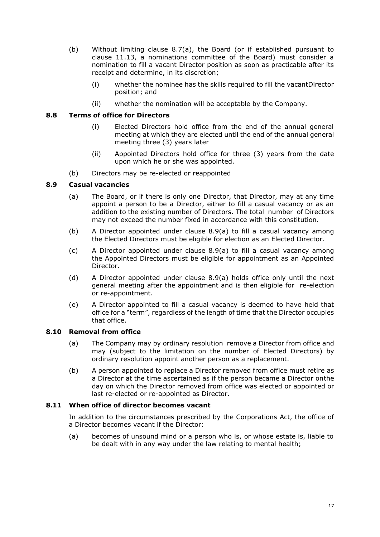- (b) Without limiting clause 8.7(a), the Board (or if established pursuant to clause 11.13, a nominations committee of the Board) must consider a nomination to fill a vacant Director position as soon as practicable after its receipt and determine, in its discretion;
	- (i) whether the nominee has the skills required to fill the vacantDirector position; and
	- (ii) whether the nomination will be acceptable by the Company.

## <span id="page-16-0"></span>**8.8 Terms of office for Directors**

- (i) Elected Directors hold office from the end of the annual general meeting at which they are elected until the end of the annual general meeting three (3) years later
- (ii) Appointed Directors hold office for three (3) years from the date upon which he or she was appointed.
- (b) Directors may be re-elected or reappointed

## <span id="page-16-1"></span>**8.9 Casual vacancies**

- (a) The Board, or if there is only one Director, that Director, may at any time appoint a person to be a Director, either to fill a casual vacancy or as an addition to the existing number of Directors. The total number of Directors may not exceed the number fixed in accordance with this constitution.
- (b) A Director appointed under clause [8.9\(a\)](#page-16-1) to fill a casual vacancy among the Elected Directors must be eligible for election as an Elected Director.
- (c) A Director appointed under clause [8.9\(a\)](#page-16-1) to fill a casual vacancy among the Appointed Directors must be eligible for appointment as an Appointed Director.
- (d) A Director appointed under clause [8.9\(a\) h](#page-16-1)olds office only until the next general meeting after the appointment and is then eligible for re-election or re-appointment.
- (e) A Director appointed to fill a casual vacancy is deemed to have held that office for a "term", regardless of the length of time that the Director occupies that office.

#### <span id="page-16-2"></span>**8.10 Removal from office**

- (a) The Company may by ordinary resolution remove a Director from office and may (subject to the limitation on the number of Elected Directors) by ordinary resolution appoint another person as a replacement.
- (b) A person appointed to replace a Director removed from office must retire as a Director at the time ascertained as if the person became a Director onthe day on which the Director removed from office was elected or appointed or last re-elected or re-appointed as Director.

#### <span id="page-16-3"></span>**8.11 When office of director becomes vacant**

In addition to the circumstances prescribed by the Corporations Act, the office of a Director becomes vacant if the Director:

(a) becomes of unsound mind or a person who is, or whose estate is, liable to be dealt with in any way under the law relating to mental health;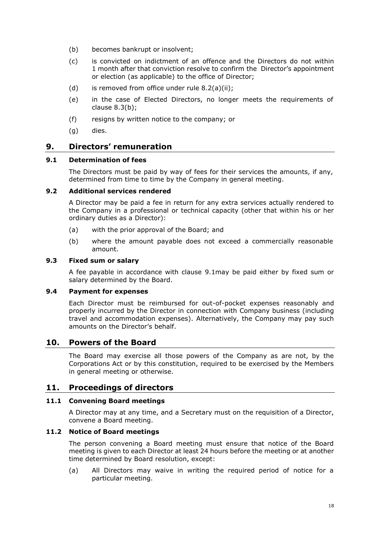- (b) becomes bankrupt or insolvent;
- (c) is convicted on indictment of an offence and the Directors do not within 1 month after that conviction resolve to confirm the Director's appointment or election (as applicable) to the office of Director;
- (d) is removed from office under rule  $8.2(a)(ii)$ ;
- (e) in the case of Elected Directors, no longer meets the requirements of clause 8.3(b);
- (f) resigns by written notice to the company; or
- <span id="page-17-0"></span>(g) dies.

# **9. Directors' remuneration**

#### <span id="page-17-1"></span>**9.1 Determination of fees**

The Directors must be paid by way of fees for their services the amounts, if any, determined from time to time by the Company in general meeting.

#### <span id="page-17-2"></span>**9.2 Additional services rendered**

A Director may be paid a fee in return for any extra services actually rendered to the Company in a professional or technical capacity (other that within his or her ordinary duties as a Director):

- (a) with the prior approval of the Board; and
- (b) where the amount payable does not exceed a commercially reasonable amount.

#### <span id="page-17-3"></span>**9.3 Fixed sum or salary**

A fee payable in accordance with clause [9.1m](#page-17-1)ay be paid either by fixed sum or salary determined by the Board.

## <span id="page-17-4"></span>**9.4 Payment for expenses**

Each Director must be reimbursed for out-of-pocket expenses reasonably and properly incurred by the Director in connection with Company business (including travel and accommodation expenses). Alternatively, the Company may pay such amounts on the Director's behalf.

# **10. Powers of the Board**

<span id="page-17-5"></span>The Board may exercise all those powers of the Company as are not, by the Corporations Act or by this constitution, required to be exercised by the Members in general meeting or otherwise.

## <span id="page-17-6"></span>**11. Proceedings of directors**

#### <span id="page-17-7"></span>**11.1 Convening Board meetings**

A Director may at any time, and a Secretary must on the requisition of a Director, convene a Board meeting.

## <span id="page-17-8"></span>**11.2 Notice of Board meetings**

The person convening a Board meeting must ensure that notice of the Board meeting is given to each Director at least 24 hours before the meeting or at another time determined by Board resolution, except:

(a) All Directors may waive in writing the required period of notice for a particular meeting.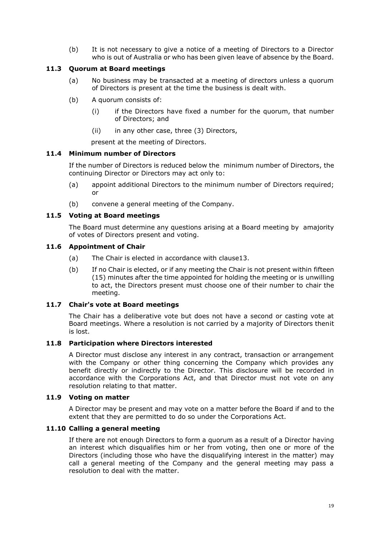(b) It is not necessary to give a notice of a meeting of Directors to a Director who is out of Australia or who has been given leave of absence by the Board.

## <span id="page-18-0"></span>**11.3 Quorum at Board meetings**

- (a) No business may be transacted at a meeting of directors unless a quorum of Directors is present at the time the business is dealt with.
- (b) A quorum consists of:
	- (i) if the Directors have fixed a number for the quorum, that number of Directors; and
	- (ii) in any other case, three (3) Directors,

present at the meeting of Directors.

#### <span id="page-18-1"></span>**11.4 Minimum number of Directors**

If the number of Directors is reduced below the minimum number of Directors, the continuing Director or Directors may act only to:

- (a) appoint additional Directors to the minimum number of Directors required; or
- (b) convene a general meeting of the Company.

## <span id="page-18-2"></span>**11.5 Voting at Board meetings**

The Board must determine any questions arising at a Board meeting by amajority of votes of Directors present and voting.

#### <span id="page-18-3"></span>**11.6 Appointment of Chair**

- (a) The Chair is elected in accordance with claus[e13.](#page-21-1)
- (b) If no Chair is elected, or if any meeting the Chair is not present within fifteen (15) minutes after the time appointed for holding the meeting or is unwilling to act, the Directors present must choose one of their number to chair the meeting.

#### <span id="page-18-4"></span>**11.7 Chair's vote at Board meetings**

The Chair has a deliberative vote but does not have a second or casting vote at Board meetings. Where a resolution is not carried by a majority of Directors thenit is lost.

#### <span id="page-18-5"></span>**11.8 Participation where Directors interested**

A Director must disclose any interest in any contract, transaction or arrangement with the Company or other thing concerning the Company which provides any benefit directly or indirectly to the Director. This disclosure will be recorded in accordance with the Corporations Act, and that Director must not vote on any resolution relating to that matter.

#### <span id="page-18-6"></span>**11.9 Voting on matter**

A Director may be present and may vote on a matter before the Board if and to the extent that they are permitted to do so under the Corporations Act.

#### <span id="page-18-7"></span>**11.10 Calling a general meeting**

If there are not enough Directors to form a quorum as a result of a Director having an interest which disqualifies him or her from voting, then one or more of the Directors (including those who have the disqualifying interest in the matter) may call a general meeting of the Company and the general meeting may pass a resolution to deal with the matter.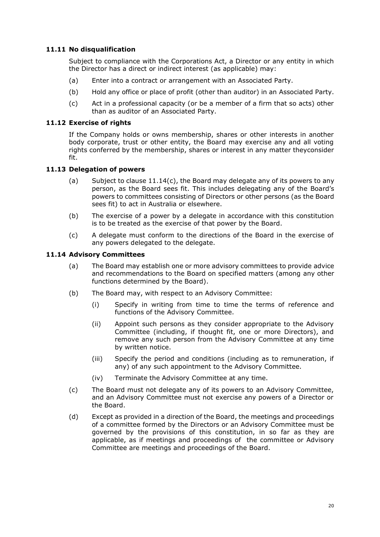## <span id="page-19-0"></span>**11.11 No disqualification**

Subject to compliance with the Corporations Act, a Director or any entity in which the Director has a direct or indirect interest (as applicable) may:

- (a) Enter into a contract or arrangement with an Associated Party.
- (b) Hold any office or place of profit (other than auditor) in an Associated Party.
- (c) Act in a professional capacity (or be a member of a firm that so acts) other than as auditor of an Associated Party.

## <span id="page-19-1"></span>**11.12 Exercise of rights**

If the Company holds or owns membership, shares or other interests in another body corporate, trust or other entity, the Board may exercise any and all voting rights conferred by the membership, shares or interest in any matter theyconsider fit.

## <span id="page-19-2"></span>**11.13 Delegation of powers**

- (a) Subject to clause  $11.14(c)$ , the Board may delegate any of its powers to any person, as the Board sees fit. This includes delegating any of the Board's powers to committees consisting of Directors or other persons (as the Board sees fit) to act in Australia or elsewhere.
- (b) The exercise of a power by a delegate in accordance with this constitution is to be treated as the exercise of that power by the Board.
- (c) A delegate must conform to the directions of the Board in the exercise of any powers delegated to the delegate.

#### <span id="page-19-3"></span>**11.14 Advisory Committees**

- (a) The Board may establish one or more advisory committees to provide advice and recommendations to the Board on specified matters (among any other functions determined by the Board).
- (b) The Board may, with respect to an Advisory Committee:
	- (i) Specify in writing from time to time the terms of reference and functions of the Advisory Committee.
	- (ii) Appoint such persons as they consider appropriate to the Advisory Committee (including, if thought fit, one or more Directors), and remove any such person from the Advisory Committee at any time by written notice.
	- (iii) Specify the period and conditions (including as to remuneration, if any) of any such appointment to the Advisory Committee.
	- (iv) Terminate the Advisory Committee at any time.
- <span id="page-19-4"></span>(c) The Board must not delegate any of its powers to an Advisory Committee, and an Advisory Committee must not exercise any powers of a Director or the Board.
- (d) Except as provided in a direction of the Board, the meetings and proceedings of a committee formed by the Directors or an Advisory Committee must be governed by the provisions of this constitution, in so far as they are applicable, as if meetings and proceedings of the committee or Advisory Committee are meetings and proceedings of the Board.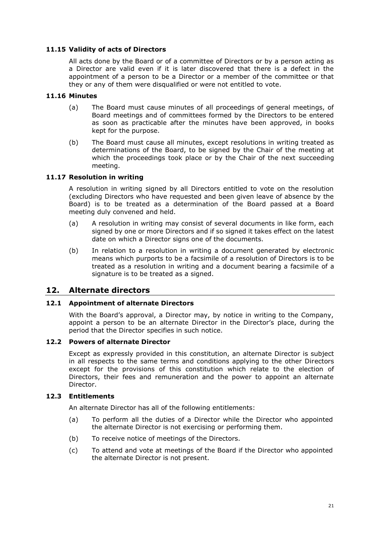## <span id="page-20-0"></span>**11.15 Validity of acts of Directors**

All acts done by the Board or of a committee of Directors or by a person acting as a Director are valid even if it is later discovered that there is a defect in the appointment of a person to be a Director or a member of the committee or that they or any of them were disqualified or were not entitled to vote.

## <span id="page-20-1"></span>**11.16 Minutes**

- (a) The Board must cause minutes of all proceedings of general meetings, of Board meetings and of committees formed by the Directors to be entered as soon as practicable after the minutes have been approved, in books kept for the purpose.
- (b) The Board must cause all minutes, except resolutions in writing treated as determinations of the Board, to be signed by the Chair of the meeting at which the proceedings took place or by the Chair of the next succeeding meeting.

## <span id="page-20-2"></span>**11.17 Resolution in writing**

A resolution in writing signed by all Directors entitled to vote on the resolution (excluding Directors who have requested and been given leave of absence by the Board) is to be treated as a determination of the Board passed at a Board meeting duly convened and held.

- (a) A resolution in writing may consist of several documents in like form, each signed by one or more Directors and if so signed it takes effect on the latest date on which a Director signs one of the documents.
- (b) In relation to a resolution in writing a document generated by electronic means which purports to be a facsimile of a resolution of Directors is to be treated as a resolution in writing and a document bearing a facsimile of a signature is to be treated as a signed.

# <span id="page-20-3"></span>**12. Alternate directors**

#### <span id="page-20-4"></span>**12.1 Appointment of alternate Directors**

With the Board's approval, a Director may, by notice in writing to the Company, appoint a person to be an alternate Director in the Director's place, during the period that the Director specifies in such notice.

#### <span id="page-20-5"></span>**12.2 Powers of alternate Director**

Except as expressly provided in this constitution, an alternate Director is subject in all respects to the same terms and conditions applying to the other Directors except for the provisions of this constitution which relate to the election of Directors, their fees and remuneration and the power to appoint an alternate Director.

#### <span id="page-20-6"></span>**12.3 Entitlements**

An alternate Director has all of the following entitlements:

- (a) To perform all the duties of a Director while the Director who appointed the alternate Director is not exercising or performing them.
- (b) To receive notice of meetings of the Directors.
- (c) To attend and vote at meetings of the Board if the Director who appointed the alternate Director is not present.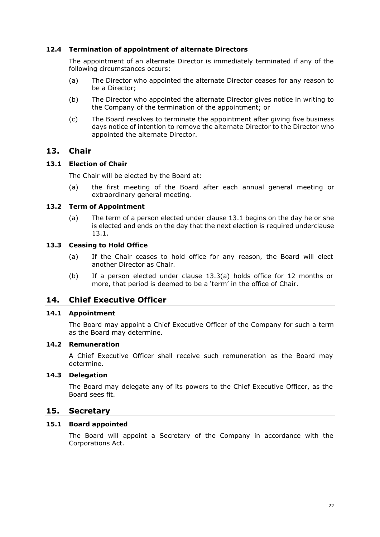## <span id="page-21-0"></span>**12.4 Termination of appointment of alternate Directors**

The appointment of an alternate Director is immediately terminated if any of the following circumstances occurs:

- (a) The Director who appointed the alternate Director ceases for any reason to be a Director;
- (b) The Director who appointed the alternate Director gives notice in writing to the Company of the termination of the appointment; or
- (c) The Board resolves to terminate the appointment after giving five business days notice of intention to remove the alternate Director to the Director who appointed the alternate Director.

# <span id="page-21-1"></span>**13. Chair**

## <span id="page-21-2"></span>**13.1 Election of Chair**

The Chair will be elected by the Board at:

(a) the first meeting of the Board after each annual general meeting or extraordinary general meeting.

## <span id="page-21-3"></span>**13.2 Term of Appointment**

(a) The term of a person elected under clause [13.1 b](#page-21-2)egins on the day he or she is elected and ends on the day that the next election is required underclause [13.1.](#page-21-2)

#### <span id="page-21-4"></span>**13.3 Ceasing to Hold Office**

- (a) If the Chair ceases to hold office for any reason, the Board will elect another Director as Chair.
- (b) If a person elected under clause [13.3\(a\)](#page-21-4) holds office for 12 months or more, that period is deemed to be a 'term' in the office of Chair.

## <span id="page-21-5"></span>**14. Chief Executive Officer**

## <span id="page-21-6"></span>**14.1 Appointment**

The Board may appoint a Chief Executive Officer of the Company for such a term as the Board may determine.

#### <span id="page-21-7"></span>**14.2 Remuneration**

A Chief Executive Officer shall receive such remuneration as the Board may determine.

#### <span id="page-21-8"></span>**14.3 Delegation**

The Board may delegate any of its powers to the Chief Executive Officer, as the Board sees fit.

## <span id="page-21-9"></span>**15. Secretary**

#### <span id="page-21-10"></span>**15.1 Board appointed**

The Board will appoint a Secretary of the Company in accordance with the Corporations Act.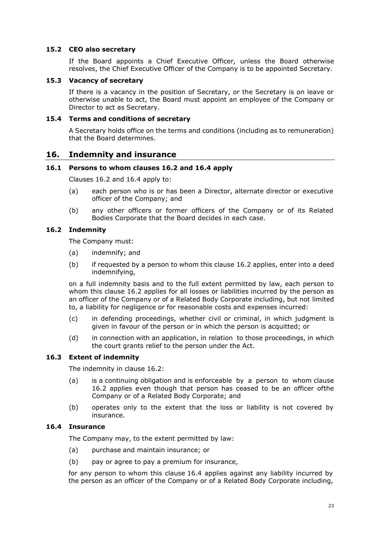## <span id="page-22-0"></span>**15.2 CEO also secretary**

If the Board appoints a Chief Executive Officer, unless the Board otherwise resolves, the Chief Executive Officer of the Company is to be appointed Secretary.

#### <span id="page-22-1"></span>**15.3 Vacancy of secretary**

If there is a vacancy in the position of Secretary, or the Secretary is on leave or otherwise unable to act, the Board must appoint an employee of the Company or Director to act as Secretary.

#### <span id="page-22-2"></span>**15.4 Terms and conditions of secretary**

A Secretary holds office on the terms and conditions (including as to remuneration) that the Board determines.

## <span id="page-22-3"></span>**16. Indemnity and insurance**

#### <span id="page-22-4"></span>**16.1 Persons to whom clauses [16.2](#page-22-5) and [16.4 a](#page-22-7)pply**

Clauses [16.2](#page-22-5) and [16.4 a](#page-22-7)pply to:

- (a) each person who is or has been a Director, alternate director or executive officer of the Company; and
- (b) any other officers or former officers of the Company or of its Related Bodies Corporate that the Board decides in each case.

## <span id="page-22-5"></span>**16.2 Indemnity**

The Company must:

- (a) indemnify; and
- (b) if requested by a person to whom this clause [16.2](#page-22-5) applies, enter into a deed indemnifying,

on a full indemnity basis and to the full extent permitted by law, each person to whom this clause [16.2 a](#page-22-5)pplies for all losses or liabilities incurred by the person as an officer of the Company or of a Related Body Corporate including, but not limited to, a liability for negligence or for reasonable costs and expenses incurred:

- (c) in defending proceedings, whether civil or criminal, in which judgment is given in favour of the person or in which the person is acquitted; or
- (d) in connection with an application, in relation to those proceedings, in which the court grants relief to the person under the Act.

#### <span id="page-22-6"></span>**16.3 Extent of indemnity**

The indemnity in clause [16.2:](#page-22-5)

- (a) is a continuing obligation and is enforceable by a person to whom clause [16.2 a](#page-22-5)pplies even though that person has ceased to be an officer ofthe Company or of a Related Body Corporate; and
- (b) operates only to the extent that the loss or liability is not covered by insurance.

## <span id="page-22-7"></span>**16.4 Insurance**

The Company may, to the extent permitted by law:

- (a) purchase and maintain insurance; or
- (b) pay or agree to pay a premium for insurance,

for any person to whom this clause [16.4](#page-22-7) applies against any liability incurred by the person as an officer of the Company or of a Related Body Corporate including,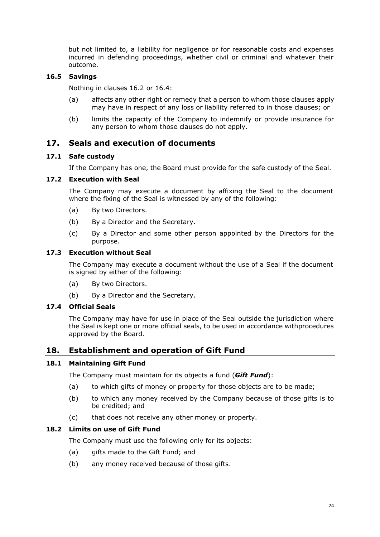but not limited to, a liability for negligence or for reasonable costs and expenses incurred in defending proceedings, whether civil or criminal and whatever their outcome.

## <span id="page-23-0"></span>**16.5 Savings**

Nothing in clauses [16.2](#page-22-5) or [16.4:](#page-22-7)

- (a) affects any other right or remedy that a person to whom those clauses apply may have in respect of any loss or liability referred to in those clauses; or
- (b) limits the capacity of the Company to indemnify or provide insurance for any person to whom those clauses do not apply.

# <span id="page-23-1"></span>**17. Seals and execution of documents**

#### <span id="page-23-2"></span>**17.1 Safe custody**

If the Company has one, the Board must provide for the safe custody of the Seal.

#### <span id="page-23-3"></span>**17.2 Execution with Seal**

The Company may execute a document by affixing the Seal to the document where the fixing of the Seal is witnessed by any of the following:

- (a) By two Directors.
- (b) By a Director and the Secretary.
- (c) By a Director and some other person appointed by the Directors for the purpose.

#### <span id="page-23-4"></span>**17.3 Execution without Seal**

The Company may execute a document without the use of a Seal if the document is signed by either of the following:

- (a) By two Directors.
- (b) By a Director and the Secretary.

## <span id="page-23-5"></span>**17.4 Official Seals**

The Company may have for use in place of the Seal outside the jurisdiction where the Seal is kept one or more official seals, to be used in accordance withprocedures approved by the Board.

#### <span id="page-23-6"></span>**18. Establishment and operation of Gift Fund**

#### <span id="page-23-7"></span>**18.1 Maintaining Gift Fund**

The Company must maintain for its objects a fund (*Gift Fund*):

- (a) to which gifts of money or property for those objects are to be made;
- (b) to which any money received by the Company because of those gifts is to be credited; and
- (c) that does not receive any other money or property.

#### <span id="page-23-8"></span>**18.2 Limits on use of Gift Fund**

The Company must use the following only for its objects:

- (a) gifts made to the Gift Fund; and
- (b) any money received because of those gifts.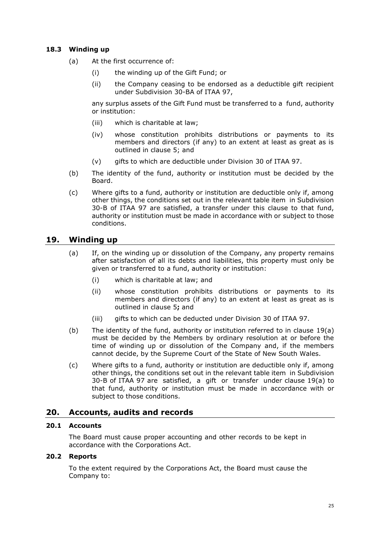## <span id="page-24-0"></span>**18.3 Winding up**

- (a) At the first occurrence of:
	- (i) the winding up of the Gift Fund; or
	- (ii) the Company ceasing to be endorsed as a deductible gift recipient under Subdivision 30-BA of ITAA 97,

any surplus assets of the Gift Fund must be transferred to a fund, authority or institution:

- (iii) which is charitable at law;
- (iv) whose constitution prohibits distributions or payments to its members and directors (if any) to an extent at least as great as is outlined in clause [5;](#page-9-1) and
- (v) gifts to which are deductible under Division 30 of ITAA 97.
- (b) The identity of the fund, authority or institution must be decided by the Board.
- (c) Where gifts to a fund, authority or institution are deductible only if, among other things, the conditions set out in the relevant table item in Subdivision 30-B of ITAA 97 are satisfied, a transfer under this clause to that fund, authority or institution must be made in accordance with or subject to those conditions.

# <span id="page-24-5"></span>**19. Winding up**

- <span id="page-24-1"></span>(a) If, on the winding up or dissolution of the Company, any property remains after satisfaction of all its debts and liabilities, this property must only be given or transferred to a fund, authority or institution:
	- (i) which is charitable at law; and
	- (ii) whose constitution prohibits distributions or payments to its members and directors (if any) to an extent at least as great as is outlined in clause [5](#page-9-1)**;** and
	- (iii) gifts to which can be deducted under Division 30 of ITAA 97.
- (b) The identity of the fund, authority or institution referred to in clause [19\(a\)](#page-24-5) must be decided by the Members by ordinary resolution at or before the time of winding up or dissolution of the Company and, if the members cannot decide, by the Supreme Court of the State of New South Wales.
- (c) Where gifts to a fund, authority or institution are deductible only if, among other things, the conditions set out in the relevant table item in Subdivision 30-B of ITAA 97 are satisfied, a gift or transfer under clause [19\(a\)](#page-24-5) to that fund, authority or institution must be made in accordance with or subject to those conditions.

# <span id="page-24-2"></span>**20. Accounts, audits and records**

## <span id="page-24-3"></span>**20.1 Accounts**

The Board must cause proper accounting and other records to be kept in accordance with the Corporations Act.

## <span id="page-24-4"></span>**20.2 Reports**

To the extent required by the Corporations Act, the Board must cause the Company to: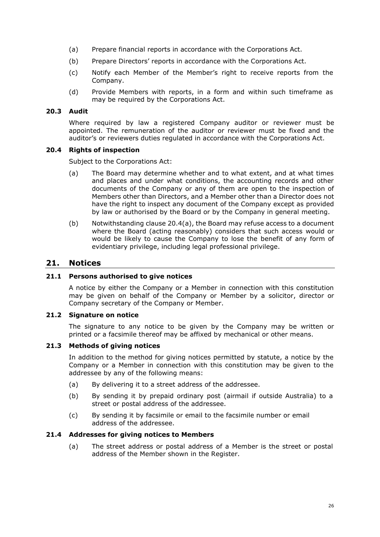- (a) Prepare financial reports in accordance with the Corporations Act.
- (b) Prepare Directors' reports in accordance with the Corporations Act.
- (c) Notify each Member of the Member's right to receive reports from the Company.
- (d) Provide Members with reports, in a form and within such timeframe as may be required by the Corporations Act.

#### <span id="page-25-0"></span>**20.3 Audit**

Where required by law a registered Company auditor or reviewer must be appointed. The remuneration of the auditor or reviewer must be fixed and the auditor's or reviewers duties regulated in accordance with the Corporations Act.

#### <span id="page-25-1"></span>**20.4 Rights of inspection**

Subject to the Corporations Act:

- (a) The Board may determine whether and to what extent, and at what times and places and under what conditions, the accounting records and other documents of the Company or any of them are open to the inspection of Members other than Directors, and a Member other than a Director does not have the right to inspect any document of the Company except as provided by law or authorised by the Board or by the Company in general meeting.
- (b) Notwithstanding clause [20.4\(a\),](#page-25-1) the Board may refuse access to a document where the Board (acting reasonably) considers that such access would or would be likely to cause the Company to lose the benefit of any form of evidentiary privilege, including legal professional privilege.

## <span id="page-25-2"></span>**21. Notices**

#### <span id="page-25-3"></span>**21.1 Persons authorised to give notices**

A notice by either the Company or a Member in connection with this constitution may be given on behalf of the Company or Member by a solicitor, director or Company secretary of the Company or Member.

#### <span id="page-25-4"></span>**21.2 Signature on notice**

The signature to any notice to be given by the Company may be written or printed or a facsimile thereof may be affixed by mechanical or other means.

## <span id="page-25-5"></span>**21.3 Methods of giving notices**

In addition to the method for giving notices permitted by statute, a notice by the Company or a Member in connection with this constitution may be given to the addressee by any of the following means:

- (a) By delivering it to a street address of the addressee.
- (b) By sending it by prepaid ordinary post (airmail if outside Australia) to a street or postal address of the addressee.
- (c) By sending it by facsimile or email to the facsimile number or email address of the addressee.

#### <span id="page-25-6"></span>**21.4 Addresses for giving notices to Members**

(a) The street address or postal address of a Member is the street or postal address of the Member shown in the Register.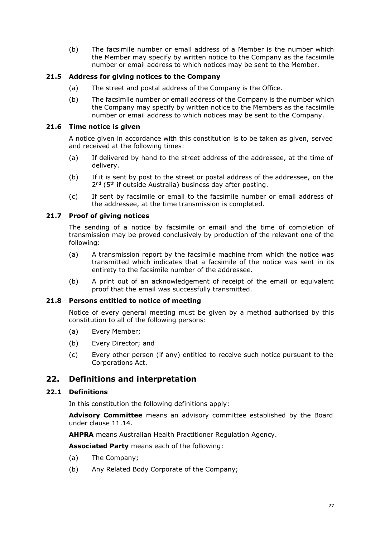(b) The facsimile number or email address of a Member is the number which the Member may specify by written notice to the Company as the facsimile number or email address to which notices may be sent to the Member.

## <span id="page-26-0"></span>**21.5 Address for giving notices to the Company**

- (a) The street and postal address of the Company is the Office.
- (b) The facsimile number or email address of the Company is the number which the Company may specify by written notice to the Members as the facsimile number or email address to which notices may be sent to the Company.

## <span id="page-26-1"></span>**21.6 Time notice is given**

A notice given in accordance with this constitution is to be taken as given, served and received at the following times:

- (a) If delivered by hand to the street address of the addressee, at the time of delivery.
- (b) If it is sent by post to the street or postal address of the addressee, on the 2<sup>nd</sup> (5<sup>th</sup> if outside Australia) business day after posting.
- (c) If sent by facsimile or email to the facsimile number or email address of the addressee, at the time transmission is completed.

## <span id="page-26-2"></span>**21.7 Proof of giving notices**

The sending of a notice by facsimile or email and the time of completion of transmission may be proved conclusively by production of the relevant one of the following:

- (a) A transmission report by the facsimile machine from which the notice was transmitted which indicates that a facsimile of the notice was sent in its entirety to the facsimile number of the addressee.
- (b) A print out of an acknowledgement of receipt of the email or equivalent proof that the email was successfully transmitted.

#### <span id="page-26-3"></span>**21.8 Persons entitled to notice of meeting**

Notice of every general meeting must be given by a method authorised by this constitution to all of the following persons:

- (a) Every Member;
- (b) Every Director; and
- (c) Every other person (if any) entitled to receive such notice pursuant to the Corporations Act.

# <span id="page-26-4"></span>**22. Definitions and interpretation**

#### <span id="page-26-5"></span>**22.1 Definitions**

In this constitution the following definitions apply:

**Advisory Committee** means an advisory committee established by the Board under clause 11.14.

**AHPRA** means Australian Health Practitioner Regulation Agency.

**Associated Party** means each of the following:

- (a) The Company;
- (b) Any Related Body Corporate of the Company;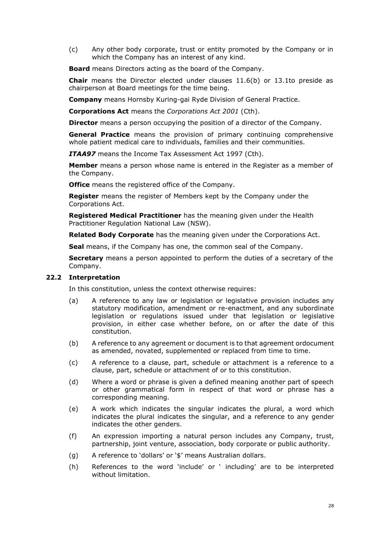(c) Any other body corporate, trust or entity promoted by the Company or in which the Company has an interest of any kind.

**Board** means Directors acting as the board of the Company.

**Chair** means the Director elected under clauses 11.6(b) or [13.1t](#page-21-2)o preside as chairperson at Board meetings for the time being.

**Company** means Hornsby Kuring-gai Ryde Division of General Practice.

**Corporations Act** means the *Corporations Act 2001* (Cth).

**Director** means a person occupying the position of a director of the Company.

**General Practice** means the provision of primary continuing comprehensive whole patient medical care to individuals, families and their communities.

*ITAA97* means the Income Tax Assessment Act 1997 (Cth).

**Member** means a person whose name is entered in the Register as a member of the Company.

**Office** means the registered office of the Company.

**Register** means the register of Members kept by the Company under the Corporations Act.

**Registered Medical Practitioner** has the meaning given under the Health Practitioner Regulation National Law (NSW).

**Related Body Corporate** has the meaning given under the Corporations Act.

**Seal** means, if the Company has one, the common seal of the Company.

**Secretary** means a person appointed to perform the duties of a secretary of the Company.

#### <span id="page-27-0"></span>**22.2 Interpretation**

In this constitution, unless the context otherwise requires:

- (a) A reference to any law or legislation or legislative provision includes any statutory modification, amendment or re-enactment, and any subordinate legislation or regulations issued under that legislation or legislative provision, in either case whether before, on or after the date of this constitution.
- (b) A reference to any agreement or document is to that agreement ordocument as amended, novated, supplemented or replaced from time to time.
- (c) A reference to a clause, part, schedule or attachment is a reference to a clause, part, schedule or attachment of or to this constitution.
- (d) Where a word or phrase is given a defined meaning another part of speech or other grammatical form in respect of that word or phrase has a corresponding meaning.
- (e) A work which indicates the singular indicates the plural, a word which indicates the plural indicates the singular, and a reference to any gender indicates the other genders.
- (f) An expression importing a natural person includes any Company, trust, partnership, joint venture, association, body corporate or public authority.
- (g) A reference to 'dollars' or '\$' means Australian dollars.
- (h) References to the word 'include' or ' including' are to be interpreted without limitation.